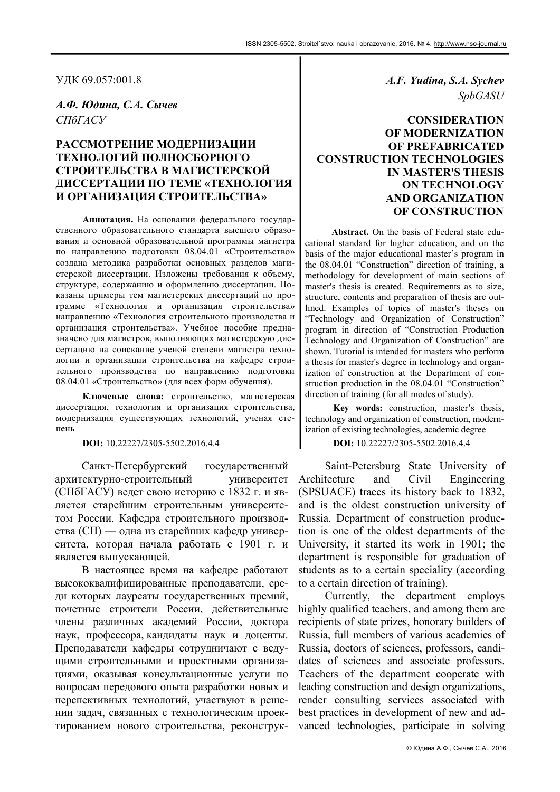УДК 69.057:001.8

А.Ф. Юдина, С.А. Сычев СПбГАСУ

# РАССМОТРЕНИЕ МОДЕРНИЗАЦИИ ТЕХНОЛОГИЙ ПОЛНОСБОРНОГО СТРОИТЕЛЬСТВА В МАГИСТЕРСКОЙ ДИССЕРТАЦИИ ПО ТЕМЕ «ТЕХНОЛОГИЯ И ОРГАНИЗАЦИЯ СТРОИТЕЛЬСТВА»

Аннотация. На основании федерального государственного образовательного стандарта высшего образования и основной образовательной программы магистра по направлению подготовки 08.04.01 «Строительство» создана методика разработки основных разделов магистерской диссертации. Изложены требования к объему, структуре, содержанию и оформлению диссертации. Показаны примеры тем магистерских диссертаций по программе «Технология и организация строительства» направлению «Технология строительного производства и организация строительства». Учебное пособие предназначено для магистров, выполняющих магистерскую диссертацию на соискание ученой степени магистра технологии и организации строительства на кафедре строительного производства по направлению подготовки 08.04.01 «Строительство» (для всех форм обучения).

Ключевые слова: строительство, магистерская диссертация, технология и организация строительства, модернизация существующих технологий, ученая степень

DOI: 10.22227/2305-5502.2016.4.4

Санкт-Петербургский государственный архитектурно-строительный университет (СПбГАСУ) ведет свою историю с 1832 г. и является старейшим строительным университетом России. Кафедра строительного производства (СП) — одна из старейших кафедр университета, которая начала работать с 1901 г. и является выпускающей.

В настоящее время на кафедре работают высококвалифицированные преподаватели, среди которых лауреаты государственных премий, почетные строители России, действительные члены различных академий России, доктора наук, профессора, кандидаты наук и доценты. Преподаватели кафедры сотрудничают с ведущими строительными и проектными организациями, оказывая консультационные услуги по вопросам передового опыта разработки новых и перспективных технологий, участвуют в решении задач, связанных с технологическим проектированием нового строительства, реконструкA.F. Yudina, S.A. Sychev SpbGASU

## **CONSIDERATION** OF MODERNIZATION OF PREFABRICATED CONSTRUCTION TECHNOLOGIES IN MASTER'S THESIS ON TECHNOLOGY AND ORGANIZATION OF CONSTRUCTION

Abstract. On the basis of Federal state educational standard for higher education, and on the basis of the major educational master's program in the 08.04.01 "Construction" direction of training, a methodology for development of main sections of master's thesis is created. Requirements as to size, structure, contents and preparation of thesis are outlined. Examples of topics of master's theses on "Technology and Organization of Construction" program in direction of "Construction Production Technology and Organization of Construction" are shown. Tutorial is intended for masters who perform a thesis for master's degree in technology and organization of construction at the Department of construction production in the 08.04.01 "Construction" direction of training (for all modes of study).

Key words: construction, master's thesis, technology and organization of construction, modernization of existing technologies, academic degree

DOI: 10.22227/2305-5502.2016.4.4

Saint-Petersburg State University of Architecture and Civil Engineering (SPSUACE) traces its history back to 1832, and is the oldest construction university of Russia. Department of construction production is one of the oldest departments of the University, it started its work in 1901; the department is responsible for graduation of students as to a certain speciality (according to a certain direction of training).

Currently, the department employs highly qualified teachers, and among them are recipients of state prizes, honorary builders of Russia, full members of various academies of Russia, doctors of sciences, professors, candidates of sciences and associate professors. Teachers of the department cooperate with leading construction and design organizations, render consulting services associated with best practices in development of new and advanced technologies, participate in solving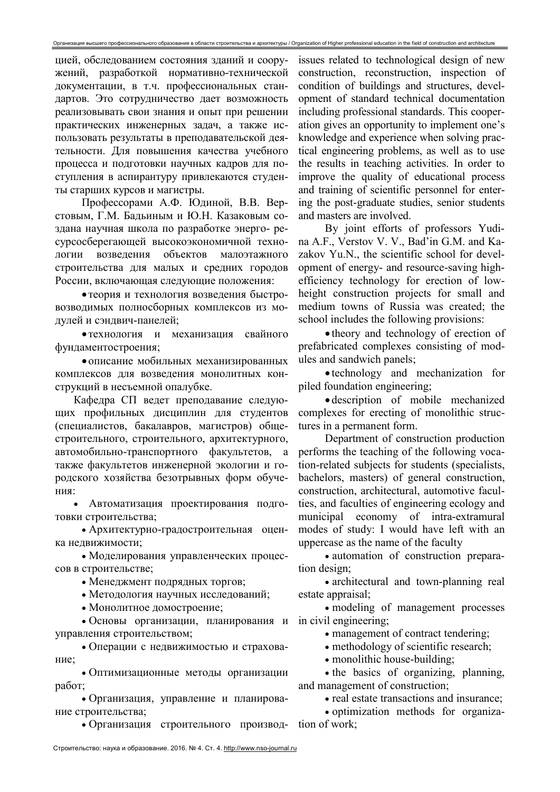цией, обследованием состояния зданий и сооружений, разработкой нормативно-технической документации, в т.ч. профессиональных стандартов. Это сотрудничество дает возможность реализовывать свои знания и опыт при решении практических инженерных задач, а также использовать результаты в преподавательской деятельности. Для повышения качества учебного процесса и подготовки научных кадров для поступления в аспирантуру привлекаются студенты старших курсов и магистры.

Профессорами А.Ф. Юдиной, В.В. Верстовым, Г.М. Бадьиным и Ю.Н. Казаковым создана научная школа по разработке энерго- ресурсосберегающей высокоэкономичной технологии возведения объектов малоэтажного строительства для малых и средних городов России, включающая следующие положения:

 теория и технология возведения быстровозводимых полносборных комплексов из модулей и сэндвич-панелей;

 технология и механизация свайного фундаментостроения;

 описание мобильных механизированных комплексов для возведения монолитных конструкций в несъемной опалубке.

Кафедра СП ведет преподавание следующих профильных дисциплин для студентов (специалистов, бакалавров, магистров) общестроительного, строительного, архитектурного, автомобильно-транспортного факультетов, а также факультетов инженерной экологии и городского хозяйства безотрывных форм обучения:

 Автоматизация проектирования подготовки строительства;

 Архитектурно-градостроительная оценка недвижимости;

 Моделирования управленческих процессов в строительстве;

Менеджмент подрядных торгов;

Методология научных исследований;

• Монолитное домостроение;

 Основы организации, планирования и управления строительством;

 Операции с недвижимостью и страхование;

 Оптимизационные методы организации работ;

 Организация, управление и планирование строительства;

Организация строительного производ-

issues related to technological design of new construction, reconstruction, inspection of condition of buildings and structures, development of standard technical documentation including professional standards. This cooperation gives an opportunity to implement one's knowledge and experience when solving practical engineering problems, as well as to use the results in teaching activities. In order to improve the quality of educational process and training of scientific personnel for entering the post-graduate studies, senior students and masters are involved.

By joint efforts of professors Yudina A.F., Verstov V. V., Bad'in G.M. and Kazakov Yu.N., the scientific school for development of energy- and resource-saving highefficiency technology for erection of lowheight construction projects for small and medium towns of Russia was created; the school includes the following provisions:

• theory and technology of erection of prefabricated complexes consisting of modules and sandwich panels;

 technology and mechanization for piled foundation engineering;

 description of mobile mechanized complexes for erecting of monolithic structures in a permanent form.

Department of construction production performs the teaching of the following vocation-related subjects for students (specialists, bachelors, masters) of general construction, construction, architectural, automotive faculties, and faculties of engineering ecology and municipal economy of intra-extramural modes of study: I would have left with an uppercase as the name of the faculty

• automation of construction preparation design;

 architectural and town-planning real estate appraisal;

 modeling of management processes in civil engineering;

management of contract tendering;

methodology of scientific research;

• monolithic house-building;

• the basics of organizing, planning, and management of construction;

• real estate transactions and insurance:

 optimization methods for organization of work;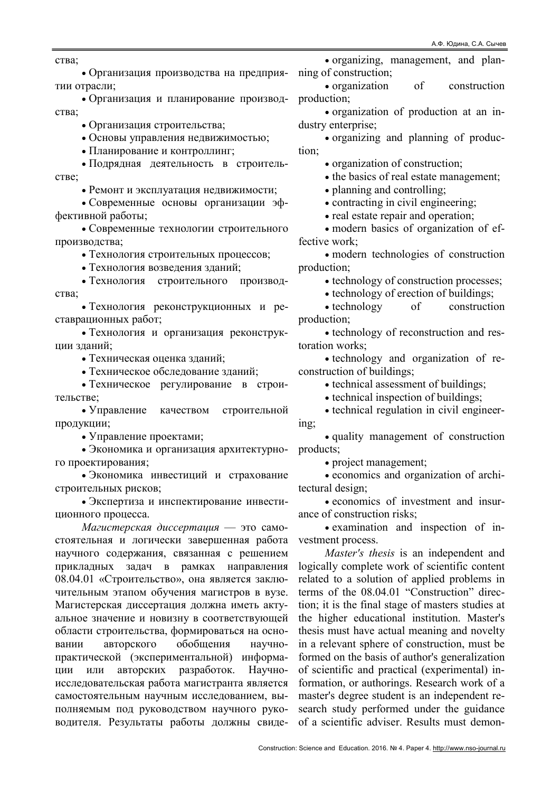ства;

 Организация производства на предприятии отрасли;

 Организация и планирование производства;

Организация строительства;

Основы управления недвижимостью;

Планирование и контроллинг;

 Подрядная деятельность в строительстве;

Ремонт и эксплуатация недвижимости;

 Современные основы организации эффективной работы;

 Современные технологии строительного производства;

Технология строительных процессов;

Технология возведения зданий;

 Технология строительного производства;

 Технология реконструкционных и реставрационных работ;

 Технология и организация реконструкции зданий;

• Техническая оценка зланий:

Техническое обследование зданий;

 Техническое регулирование в строительстве;

 Управление качеством строительной продукции;

Управление проектами;

 Экономика и организация архитектурного проектирования;

 Экономика инвестиций и страхование строительных рисков;

 Экспертиза и инспектирование инвестиционного процесса.

Магистерская диссертация — это самостоятельная и логически завершенная работа научного содержания, связанная с решением прикладных задач в рамках направления 08.04.01 «Строительство», она является заключительным этапом обучения магистров в вузе. Магистерская диссертация должна иметь актуальное значение и новизну в соответствующей области строительства, формироваться на основании авторского обобщения научнопрактической (экспериментальной) информации или авторских разработок. Научноисследовательская работа магистранта является самостоятельным научным исследованием, выполняемым под руководством научного руководителя. Результаты работы должны свиде-

 organizing, management, and planning of construction;

 organization of construction production;

 organization of production at an industry enterprise;

 organizing and planning of production;

• organization of construction;

• the basics of real estate management;

planning and controlling;

contracting in civil engineering;

• real estate repair and operation;

 modern basics of organization of effective work;

 modern technologies of construction production;

 $\bullet$  technology of construction processes;

• technology of erection of buildings;

• technology of construction production;

• technology of reconstruction and restoration works;

• technology and organization of reconstruction of buildings;

• technical assessment of buildings;

• technical inspection of buildings;

• technical regulation in civil engineering;

 quality management of construction products;

project management;

 economics and organization of architectural design;

 economics of investment and insurance of construction risks;

 examination and inspection of investment process.

Master's thesis is an independent and logically complete work of scientific content related to a solution of applied problems in terms of the 08.04.01 "Construction" direction; it is the final stage of masters studies at the higher educational institution. Master's thesis must have actual meaning and novelty in a relevant sphere of construction, must be formed on the basis of author's generalization of scientific and practical (experimental) information, or authorings. Research work of a master's degree student is an independent research study performed under the guidance of a scientific adviser. Results must demon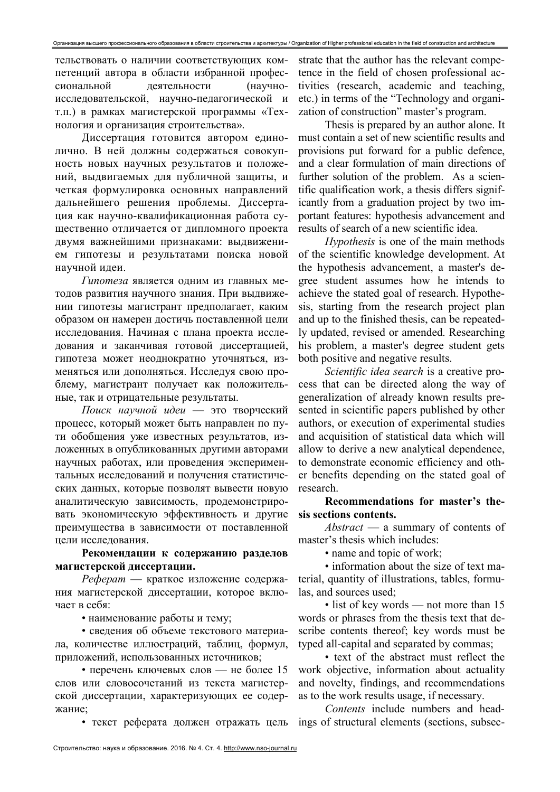тельствовать о наличии соответствующих компетенций автора в области избранной профессиональной деятельности (научноисследовательской, научно-педагогической и т.п.) в рамках магистерской программы «Технология и организация строительства».

Диссертация готовится автором единолично. В ней должны содержаться совокупность новых научных результатов и положений, выдвигаемых для публичной защиты, и четкая формулировка основных направлений дальнейшего решения проблемы. Диссертация как научно-квалификационная работа существенно отличается от дипломного проекта двумя важнейшими признаками: выдвижением гипотезы и результатами поиска новой научной илеи.

Гипотеза является одним из главных методов развития научного знания. При выдвижении гипотезы магистрант предполагает, каким образом он намерен достичь поставленной цели исследования. Начиная с плана проекта исследования и заканчивая готовой диссертацией, гипотеза может неоднократно уточняться, изменяться или дополняться. Исследуя свою проблему, магистрант получает как положительные, так и отрицательные результаты.

Поиск научной идеи - это творческий процесс, который может быть направлен по пути обобщения уже известных результатов, изложенных в опубликованных другими авторами научных работах, или проведения экспериментальных исследований и получения статистических данных, которые позволят вывести новую аналитическую зависимость, продемонстрировать экономическую эффективность и другие преимущества в зависимости от поставленной цели исследования.

Рекомендации к содержанию разделов магистерской диссертации.

Реферат - краткое изложение содержания магистерской диссертации, которое включает в себя:

• наименование работы и тему;

• сведения об объеме текстового материала, количестве иллюстраций, таблиц, формул, приложений, использованных источников;

• перечень ключевых слов — не более 15 слов или словосочетаний из текста магистерской диссертации, характеризующих ее содержание:

• текст реферата должен отражать цель

strate that the author has the relevant competence in the field of chosen professional activities (research, academic and teaching, etc.) in terms of the "Technology and organization of construction" master's program.

Thesis is prepared by an author alone. It must contain a set of new scientific results and provisions put forward for a public defence, and a clear formulation of main directions of further solution of the problem. As a scientific qualification work, a thesis differs significantly from a graduation project by two important features: hypothesis advancement and results of search of a new scientific idea.

*Hypothesis* is one of the main methods of the scientific knowledge development. At the hypothesis advancement, a master's degree student assumes how he intends to achieve the stated goal of research. Hypothesis, starting from the research project plan and up to the finished thesis, can be repeatedly updated, revised or amended. Researching his problem, a master's degree student gets both positive and negative results.

Scientific idea search is a creative process that can be directed along the way of generalization of already known results presented in scientific papers published by other authors, or execution of experimental studies and acquisition of statistical data which will allow to derive a new analytical dependence, to demonstrate economic efficiency and other benefits depending on the stated goal of research.

Recommendations for master's thesis sections contents.

Abstract - a summary of contents of master's thesis which includes:

• name and topic of work:

• information about the size of text material, quantity of illustrations, tables, formulas, and sources used;

• list of key words — not more than 15 words or phrases from the thesis text that describe contents thereof; key words must be typed all-capital and separated by commas;

• text of the abstract must reflect the work objective, information about actuality and novelty, findings, and recommendations as to the work results usage, if necessary.

Contents include numbers and headings of structural elements (sections, subsec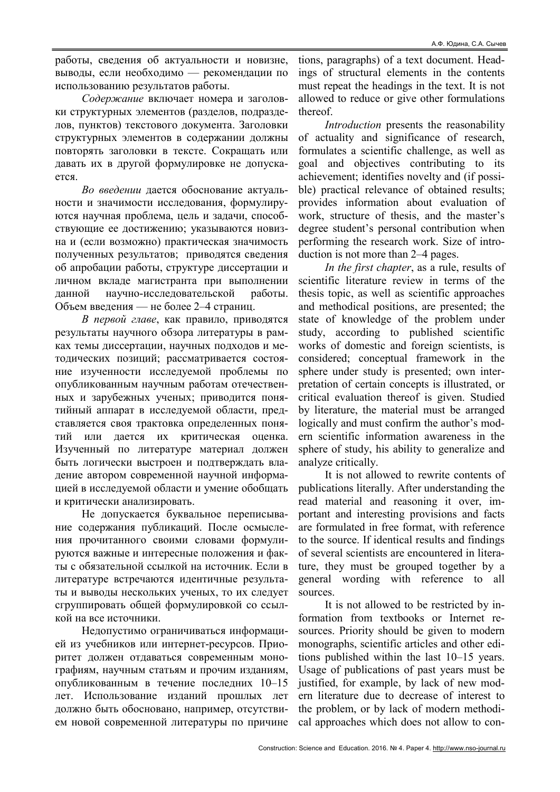работы, сведения об актуальности и новизне, выводы, если необходимо — рекомендации по использованию результатов работы.

Содержание включает номера и заголовки структурных элементов (разделов, подразделов, пунктов) текстового документа. Заголовки структурных элементов в содержании должны повторять заголовки в тексте. Сокращать или давать их в другой формулировке не допускается.

Во введении дается обоснование актуальности и значимости исследования, формулируются научная проблема, цель и задачи, способствующие ее достижению; указываются новизна и (если возможно) практическая значимость полученных результатов; приводятся сведения об апробации работы, структуре диссертации и личном вкладе магистранта при выполнении данной научно-исследовательской работы. Объем введения — не более 2–4 страниц.

В первой главе, как правило, приводятся результаты научного обзора литературы в рамках темы диссертации, научных подходов и методических позиций; рассматривается состояние изученности исследуемой проблемы по опубликованным научным работам отечественных и зарубежных ученых; приводится понятийный аппарат в исследуемой области, представляется своя трактовка определенных понятий или дается их критическая оценка. Изученный по литературе материал должен быть логически выстроен и подтверждать владение автором современной научной информацией в исследуемой области и умение обобщать и критически анализировать.

Не допускается буквальное переписывание содержания публикаций. После осмысления прочитанного своими словами формулируются важные и интересные положения и факты с обязательной ссылкой на источник. Если в литературе встречаются идентичные результаты и выводы нескольких ученых, то их следует сгруппировать общей формулировкой со ссылкой на все источники.

Недопустимо ограничиваться информацией из учебников или интернет-ресурсов. Приоритет должен отдаваться современным монографиям, научным статьям и прочим изданиям, опубликованным в течение последних 10–15 лет. Использование изданий прошлых лет должно быть обосновано, например, отсутствием новой современной литературы по причине tions, paragraphs) of a text document. Headings of structural elements in the contents must repeat the headings in the text. It is not allowed to reduce or give other formulations thereof.

Introduction presents the reasonability of actuality and significance of research, formulates a scientific challenge, as well as goal and objectives contributing to its achievement; identifies novelty and (if possible) practical relevance of obtained results; provides information about evaluation of work, structure of thesis, and the master's degree student's personal contribution when performing the research work. Size of introduction is not more than 2–4 pages.

In the first chapter, as a rule, results of scientific literature review in terms of the thesis topic, as well as scientific approaches and methodical positions, are presented; the state of knowledge of the problem under study, according to published scientific works of domestic and foreign scientists, is considered; conceptual framework in the sphere under study is presented; own interpretation of certain concepts is illustrated, or critical evaluation thereof is given. Studied by literature, the material must be arranged logically and must confirm the author's modern scientific information awareness in the sphere of study, his ability to generalize and analyze critically.

It is not allowed to rewrite contents of publications literally. After understanding the read material and reasoning it over, important and interesting provisions and facts are formulated in free format, with reference to the source. If identical results and findings of several scientists are encountered in literature, they must be grouped together by a general wording with reference to all sources.

It is not allowed to be restricted by information from textbooks or Internet resources. Priority should be given to modern monographs, scientific articles and other editions published within the last 10–15 years. Usage of publications of past years must be justified, for example, by lack of new modern literature due to decrease of interest to the problem, or by lack of modern methodical approaches which does not allow to con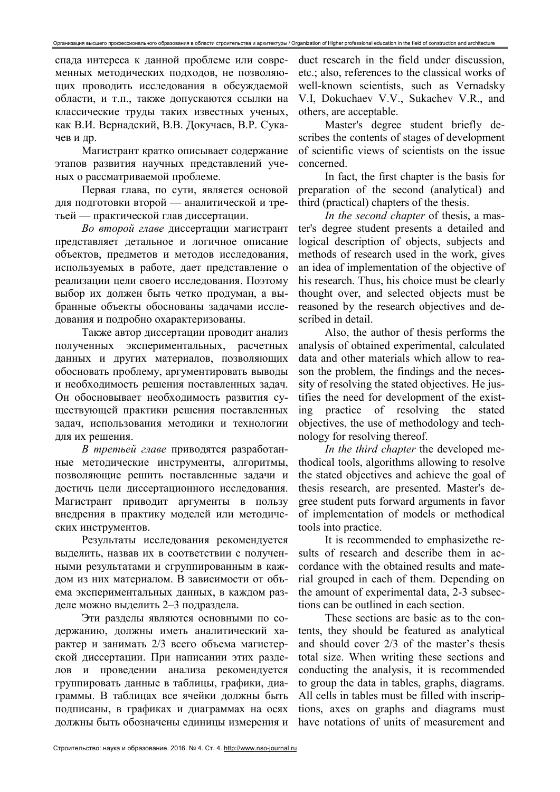спада интереса к данной проблеме или современных методических подходов, не позволяющих проводить исследования в обсуждаемой области, и т.п., также допускаются ссылки на классические труды таких известных ученых, как В.И. Вернадский, В.В. Докучаев, В.Р. Сукачев и др.

Магистрант кратко описывает содержание этапов развития научных представлений ученых о рассматриваемой проблеме.

Первая глава, по сути, является основой для подготовки второй - аналитической и третьей — практической глав диссертации.

Во второй главе диссертации магистрант представляет детальное и логичное описание объектов, предметов и методов исследования, используемых в работе, дает представление о реализации цели своего исследования. Поэтому выбор их должен быть четко продуман, а выбранные объекты обоснованы задачами исследования и подробно охарактеризованы.

Также автор диссертации проводит анализ полученных экспериментальных, расчетных данных и других материалов, позволяющих обосновать проблему, аргументировать выводы и необходимость решения поставленных задач. Он обосновывает необходимость развития существующей практики решения поставленных задач, использования методики и технологии для их решения.

В третьей главе приводятся разработанные методические инструменты, алгоритмы, позволяющие решить поставленные задачи и достичь цели диссертационного исследования. Магистрант приводит аргументы в пользу внедрения в практику моделей или методических инструментов.

Результаты исследования рекомендуется выделить, назвав их в соответствии с полученными результатами и сгруппированным в каждом из них материалом. В зависимости от объема экспериментальных данных, в каждом разделе можно выделить 2-3 подраздела.

Эти разделы являются основными по содержанию, должны иметь аналитический характер и занимать 2/3 всего объема магистерской диссертации. При написании этих разделов и проведении анализа рекомендуется группировать данные в таблицы, графики, диаграммы. В таблицах все ячейки должны быть подписаны, в графиках и диаграммах на осях должны быть обозначены единицы измерения и duct research in the field under discussion, etc.; also, references to the classical works of well-known scientists, such as Vernadsky V.I, Dokuchaev V.V., Sukachev V.R., and others, are acceptable.

Master's degree student briefly describes the contents of stages of development of scientific views of scientists on the issue concerned.

In fact, the first chapter is the basis for preparation of the second (analytical) and third (practical) chapters of the thesis.

In the second chapter of thesis, a master's degree student presents a detailed and logical description of objects, subjects and methods of research used in the work, gives an idea of implementation of the objective of his research. Thus, his choice must be clearly thought over, and selected objects must be reasoned by the research objectives and described in detail.

Also, the author of thesis performs the analysis of obtained experimental, calculated data and other materials which allow to reason the problem, the findings and the necessity of resolving the stated objectives. He justifies the need for development of the existpractice of resolving the stated  $\overline{\text{inp}}$ objectives, the use of methodology and technology for resolving thereof.

In the third chapter the developed methodical tools, algorithms allowing to resolve the stated objectives and achieve the goal of thesis research, are presented. Master's degree student puts forward arguments in favor of implementation of models or methodical tools into practice.

It is recommended to emphasize the results of research and describe them in accordance with the obtained results and material grouped in each of them. Depending on the amount of experimental data, 2-3 subsections can be outlined in each section.

These sections are basic as to the contents, they should be featured as analytical and should cover 2/3 of the master's thesis total size. When writing these sections and conducting the analysis, it is recommended to group the data in tables, graphs, diagrams. All cells in tables must be filled with inscriptions, axes on graphs and diagrams must have notations of units of measurement and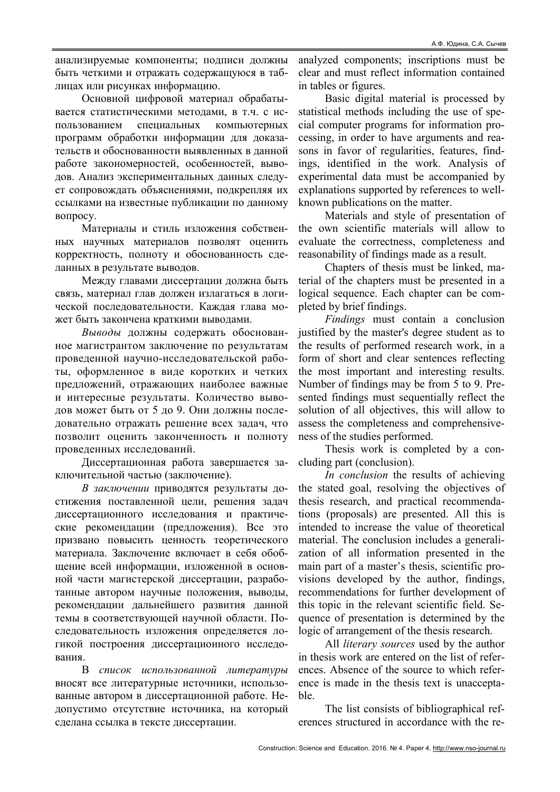анализируемые компоненты; подписи должны быть четкими и отражать содержащуюся в таблицах или рисунках информацию.

Основной цифровой материал обрабатывается статистическими методами, в т.ч. с использованием специальных компьютерных программ обработки информации для доказательств и обоснованности выявленных в данной работе закономерностей, особенностей, выводов. Анализ экспериментальных данных следует сопровождать объяснениями, подкрепляя их ссылками на известные публикации по данному вопросу.

Материалы и стиль изложения собственных научных материалов позволят оценить корректность, полноту и обоснованность сделанных в результате выводов.

Между главами диссертации должна быть связь, материал глав должен излагаться в логической последовательности. Каждая глава может быть закончена краткими выводами.

Выводы должны содержать обоснованное магистрантом заключение по результатам проведенной научно-исследовательской работы, оформленное в виде коротких и четких предложений, отражающих наиболее важные и интересные результаты. Количество выводов может быть от 5 до 9. Они должны последовательно отражать решение всех задач, что позволит оценить законченность и полноту проведенных исследований.

Диссертационная работа завершается заключительной частью (заключение).

В заключении приводятся результаты достижения поставленной цели, решения задач диссертационного исследования и практические рекомендации (предложения). Все это призвано повысить ценность теоретического материала. Заключение включает в себя обобщение всей информации, изложенной в основной части магистерской диссертации, разработанные автором научные положения, выводы, рекомендации дальнейшего развития данной темы в соответствующей научной области. Последовательность изложения определяется логикой построения диссертационного исследования.

В список использованной литературы вносят все литературные источники, использованные автором в диссертационной работе. Недопустимо отсутствие источника, на который сделана ссылка в тексте диссертации.

analyzed components; inscriptions must be clear and must reflect information contained in tables or figures.

Basic digital material is processed by statistical methods including the use of special computer programs for information processing, in order to have arguments and reasons in favor of regularities, features, findings, identified in the work. Analysis of experimental data must be accompanied by explanations supported by references to wellknown publications on the matter.

Materials and style of presentation of the own scientific materials will allow to evaluate the correctness, completeness and reasonability of findings made as a result.

Chapters of thesis must be linked, material of the chapters must be presented in a logical sequence. Each chapter can be completed by brief findings.

Findings must contain a conclusion justified by the master's degree student as to the results of performed research work, in a form of short and clear sentences reflecting the most important and interesting results. Number of findings may be from 5 to 9. Presented findings must sequentially reflect the solution of all objectives, this will allow to assess the completeness and comprehensiveness of the studies performed.

Thesis work is completed by a concluding part (conclusion).

In conclusion the results of achieving the stated goal, resolving the objectives of thesis research, and practical recommendations (proposals) are presented. All this is intended to increase the value of theoretical material. The conclusion includes a generalization of all information presented in the main part of a master's thesis, scientific provisions developed by the author, findings, recommendations for further development of this topic in the relevant scientific field. Sequence of presentation is determined by the logic of arrangement of the thesis research.

All literary sources used by the author in thesis work are entered on the list of references. Absence of the source to which reference is made in the thesis text is unacceptable.

The list consists of bibliographical references structured in accordance with the re-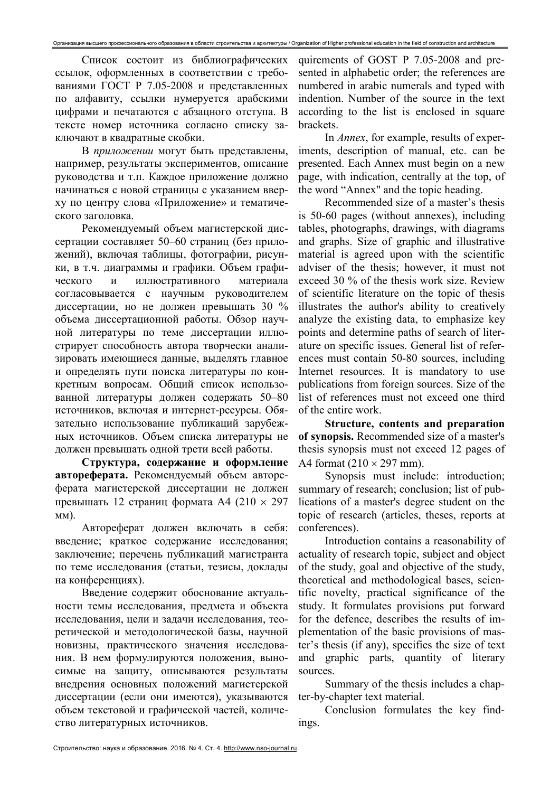Список состоит из библиографических ссылок, оформленных в соответствии с требованиями ГОСТ Р 7.05-2008 и представленных по алфавиту, ссылки нумеруется арабскими цифрами и печатаются с абзацного отступа. В тексте номер источника согласно списку заключают в квадратные скобки.

В приложении могут быть представлены, например, результаты экспериментов, описание руководства и т.п. Каждое приложение должно начинаться с новой страницы с указанием вверху по центру слова «Приложение» и тематического заголовка.

Рекомендуемый объем магистерской диссертации составляет 50–60 страниц (без приложений), включая таблицы, фотографии, рисунки, в т.ч. диаграммы и графики. Объем графического и иллюстративного материала согласовывается с научным руководителем диссертации, но не должен превышать 30 % объема диссертационной работы. Обзор научной литературы по теме диссертации иллюстрирует способность автора творчески анализировать имеющиеся данные, выделять главное и определять пути поиска литературы по конкретным вопросам. Общий список использованной литературы должен содержать 50–80 источников, включая и интернет-ресурсы. Обязательно использование публикаций зарубежных источников. Объем списка литературы не должен превышать одной трети всей работы.

Структура, содержание и оформление автореферата. Рекомендуемый объем автореферата магистерской диссертации не должен превышать 12 страниц формата А4 (210  $\times$  297 мм).

Автореферат должен включать в себя: введение; краткое содержание исследования; заключение; перечень публикаций магистранта по теме исследования (статьи, тезисы, доклады на конференциях).

Введение содержит обоснование актуальности темы исследования, предмета и объекта исследования, цели и задачи исследования, теоретической и методологической базы, научной новизны, практического значения исследования. В нем формулируются положения, выносимые на защиту, описываются результаты внедрения основных положений магистерской диссертации (если они имеются), указываются объем текстовой и графической частей, количество литературных источников.

quirements of GOST P 7.05-2008 and presented in alphabetic order; the references are numbered in arabic numerals and typed with indention. Number of the source in the text according to the list is enclosed in square brackets.

In Annex, for example, results of experiments, description of manual, etc. can be presented. Each Annex must begin on a new page, with indication, centrally at the top, of the word "Annex" and the topic heading.

Recommended size of a master's thesis is 50-60 pages (without annexes), including tables, photographs, drawings, with diagrams and graphs. Size of graphic and illustrative material is agreed upon with the scientific adviser of the thesis; however, it must not exceed 30 % of the thesis work size. Review of scientific literature on the topic of thesis illustrates the author's ability to creatively analyze the existing data, to emphasize key points and determine paths of search of literature on specific issues. General list of references must contain 50-80 sources, including Internet resources. It is mandatory to use publications from foreign sources. Size of the list of references must not exceed one third of the entire work.

Structure, contents and preparation of synopsis. Recommended size of a master's thesis synopsis must not exceed 12 pages of A4 format  $(210 \times 297$  mm).

Synopsis must include: introduction; summary of research; conclusion; list of publications of a master's degree student on the topic of research (articles, theses, reports at conferences).

Introduction contains a reasonability of actuality of research topic, subject and object of the study, goal and objective of the study, theoretical and methodological bases, scientific novelty, practical significance of the study. It formulates provisions put forward for the defence, describes the results of implementation of the basic provisions of master's thesis (if any), specifies the size of text and graphic parts, quantity of literary sources.

Summary of the thesis includes a chapter-by-chapter text material.

Conclusion formulates the key findings.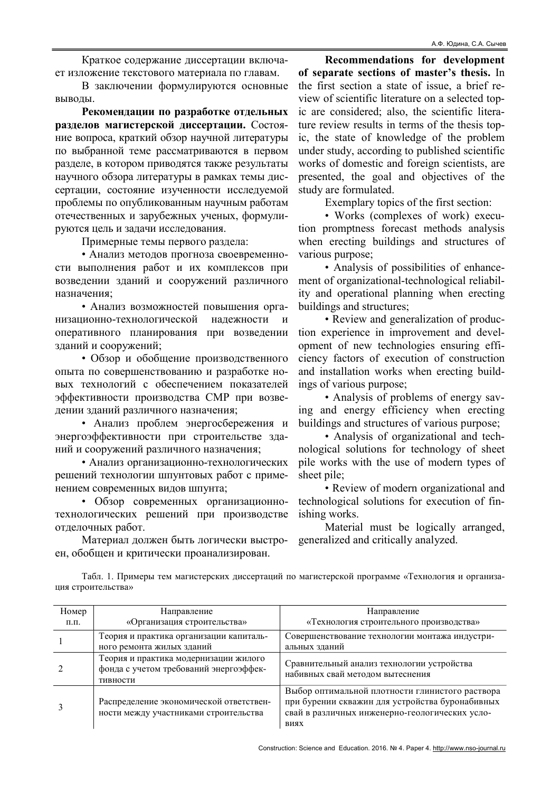Краткое содержание диссертации включает изложение текстового материала по главам.

В заключении формулируются основные выводы.

Рекомендации по разработке отдельных разделов магистерской диссертации. Состояние вопроса, краткий обзор научной литературы по выбранной теме рассматриваются в первом разделе, в котором приводятся также результаты научного обзора литературы в рамках темы диссертации, состояние изученности исследуемой проблемы по опубликованным научным работам отечественных и зарубежных ученых, формулируются цель и задачи исследования.

Примерные темы первого раздела:

• Анализ методов прогноза своевременности выполнения работ и их комплексов при возведении зданий и сооружений различного назначения;

• Анализ возможностей повышения организационно-технологической надежности и оперативного планирования при возведении зданий и сооружений;

• Обзор и обобщение производственного опыта по совершенствованию и разработке новых технологий с обеспечением показателей эффективности производства СМР при возведении зданий различного назначения;

• Анализ проблем энергосбережения и энергоэффективности при строительстве зданий и сооружений различного назначения;

• Анализ организационно-технологических решений технологии шпунтовых работ с применением современных видов шпунта;

• Обзор современных организационнотехнологических решений при производстве отделочных работ.

Материал должен быть логически выстроен, обобщен и критически проанализирован.

Recommendations for development of separate sections of master's thesis. In the first section a state of issue, a brief review of scientific literature on a selected topic are considered; also, the scientific literature review results in terms of the thesis topic, the state of knowledge of the problem under study, according to published scientific works of domestic and foreign scientists, are presented, the goal and objectives of the study are formulated.

Exemplary topics of the first section:

• Works (complexes of work) execution promptness forecast methods analysis when erecting buildings and structures of various purpose;

• Analysis of possibilities of enhancement of organizational-technological reliability and operational planning when erecting buildings and structures;

• Review and generalization of production experience in improvement and development of new technologies ensuring efficiency factors of execution of construction and installation works when erecting buildings of various purpose;

• Analysis of problems of energy saving and energy efficiency when erecting buildings and structures of various purpose;

• Analysis of organizational and technological solutions for technology of sheet pile works with the use of modern types of sheet pile;

• Review of modern organizational and technological solutions for execution of finishing works.

Material must be logically arranged, generalized and critically analyzed.

Табл. 1. Примеры тем магистерских диссертаций по магистерской программе «Технология и организация строительства»

| Номер           | Направление                                                                                 | Направление                                                                                                                                                  |
|-----------------|---------------------------------------------------------------------------------------------|--------------------------------------------------------------------------------------------------------------------------------------------------------------|
| $\Pi$ . $\Pi$ . | «Организация строительства»                                                                 | «Технология строительного производства»                                                                                                                      |
|                 | Теория и практика организации капиталь-<br>ного ремонта жилых зданий                        | Совершенствование технологии монтажа индустри-<br>альных зданий                                                                                              |
|                 | Теория и практика модернизации жилого<br>фонда с учетом требований энергоэффек-<br>тивности | Сравнительный анализ технологии устройства<br>набивных свай методом вытеснения                                                                               |
|                 | Распределение экономической ответствен-<br>ности между участниками строительства            | Выбор оптимальной плотности глинистого раствора<br>при бурении скважин для устройства буронабивных<br>свай в различных инженерно-геологических усло-<br>виях |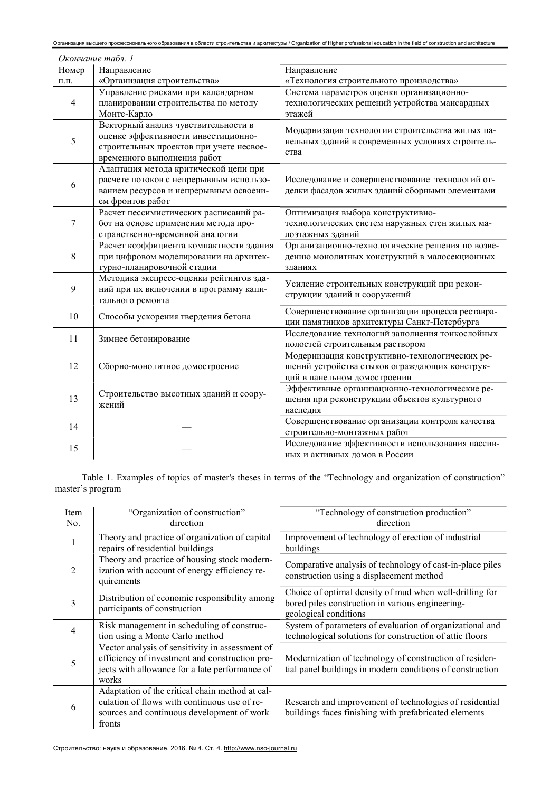| Организация высшего профессионального образования в области строительства и архитектуры / Organization of Higher professional education in the field of construction and architecture |                                                                                                                                                      |                                                                                                                                 |  |  |  |
|---------------------------------------------------------------------------------------------------------------------------------------------------------------------------------------|------------------------------------------------------------------------------------------------------------------------------------------------------|---------------------------------------------------------------------------------------------------------------------------------|--|--|--|
| Окончание табл. 1                                                                                                                                                                     |                                                                                                                                                      |                                                                                                                                 |  |  |  |
| Номер                                                                                                                                                                                 | Направление                                                                                                                                          | Направление                                                                                                                     |  |  |  |
| $\Pi.\Pi.$                                                                                                                                                                            | «Организация строительства»                                                                                                                          | «Технология строительного производства»                                                                                         |  |  |  |
| 4                                                                                                                                                                                     | Управление рисками при календарном<br>планировании строительства по методу<br>Монте-Карло                                                            | Система параметров оценки организационно-<br>технологических решений устройства мансардных<br>этажей                            |  |  |  |
| 5                                                                                                                                                                                     | Векторный анализ чувствительности в<br>оценке эффективности инвестиционно-<br>строительных проектов при учете несвое-<br>временного выполнения работ | Модернизация технологии строительства жилых па-<br>нельных зданий в современных условиях строитель-<br>ства                     |  |  |  |
| 6                                                                                                                                                                                     | Адаптация метода критической цепи при<br>расчете потоков с непрерывным использо-<br>ванием ресурсов и непрерывным освоени-<br>ем фронтов работ       | Исследование и совершенствование технологий от-<br>делки фасадов жилых зданий сборными элементами                               |  |  |  |
| 7                                                                                                                                                                                     | Расчет пессимистических расписаний ра-<br>бот на основе применения метода про-<br>странственно-временной аналогии                                    | Оптимизация выбора конструктивно-<br>технологических систем наружных стен жилых ма-<br>лоэтажных зданий                         |  |  |  |
| 8                                                                                                                                                                                     | Расчет коэффициента компактности здания<br>при цифровом моделировании на архитек-<br>турно-планировочной стадии                                      | Организационно-технологические решения по возве-<br>дению монолитных конструкций в малосекционных<br>зданиях                    |  |  |  |
| 9                                                                                                                                                                                     | Методика экспресс-оценки рейтингов зда-<br>ний при их включении в программу капи-<br>тального ремонта                                                | Усиление строительных конструкций при рекон-<br>струкции зданий и сооружений                                                    |  |  |  |
| 10                                                                                                                                                                                    | Способы ускорения твердения бетона                                                                                                                   | Совершенствование организации процесса реставра-<br>ции памятников архитектуры Санкт-Петербурга                                 |  |  |  |
| 11                                                                                                                                                                                    | Зимнее бетонирование                                                                                                                                 | Исследование технологий заполнения тонкослойных<br>полостей строительным раствором                                              |  |  |  |
| 12                                                                                                                                                                                    | Сборно-монолитное домостроение                                                                                                                       | Модернизация конструктивно-технологических ре-<br>шений устройства стыков ограждающих конструк-<br>ций в панельном домостроении |  |  |  |
| 13                                                                                                                                                                                    | Строительство высотных зданий и соору-<br>жений                                                                                                      | Эффективные организационно-технологические ре-<br>шения при реконструкции объектов культурного<br>наследия                      |  |  |  |
| 14                                                                                                                                                                                    |                                                                                                                                                      | Совершенствование организации контроля качества<br>строительно-монтажных работ                                                  |  |  |  |
| 15                                                                                                                                                                                    |                                                                                                                                                      | Исследование эффективности использования пассив-<br>ных и активных домов в России                                               |  |  |  |

Table 1. Examples of topics of master's theses in terms of the "Technology and organization of construction" master's program

| Item<br>No. | "Organization of construction"<br>direction                                                                                                                  | "Technology of construction production"<br>direction                                                                                 |
|-------------|--------------------------------------------------------------------------------------------------------------------------------------------------------------|--------------------------------------------------------------------------------------------------------------------------------------|
|             | Theory and practice of organization of capital<br>repairs of residential buildings                                                                           | Improvement of technology of erection of industrial<br>buildings                                                                     |
| 2           | Theory and practice of housing stock modern-<br>ization with account of energy efficiency re-<br>quirements                                                  | Comparative analysis of technology of cast-in-place piles<br>construction using a displacement method                                |
| 3           | Distribution of economic responsibility among<br>participants of construction                                                                                | Choice of optimal density of mud when well-drilling for<br>bored piles construction in various engineering-<br>geological conditions |
| 4           | Risk management in scheduling of construc-<br>tion using a Monte Carlo method                                                                                | System of parameters of evaluation of organizational and<br>technological solutions for construction of attic floors                 |
| 5           | Vector analysis of sensitivity in assessment of<br>efficiency of investment and construction pro-<br>jects with allowance for a late performance of<br>works | Modernization of technology of construction of residen-<br>tial panel buildings in modern conditions of construction                 |
| 6           | Adaptation of the critical chain method at cal-<br>culation of flows with continuous use of re-<br>sources and continuous development of work<br>fronts      | Research and improvement of technologies of residential<br>buildings faces finishing with prefabricated elements                     |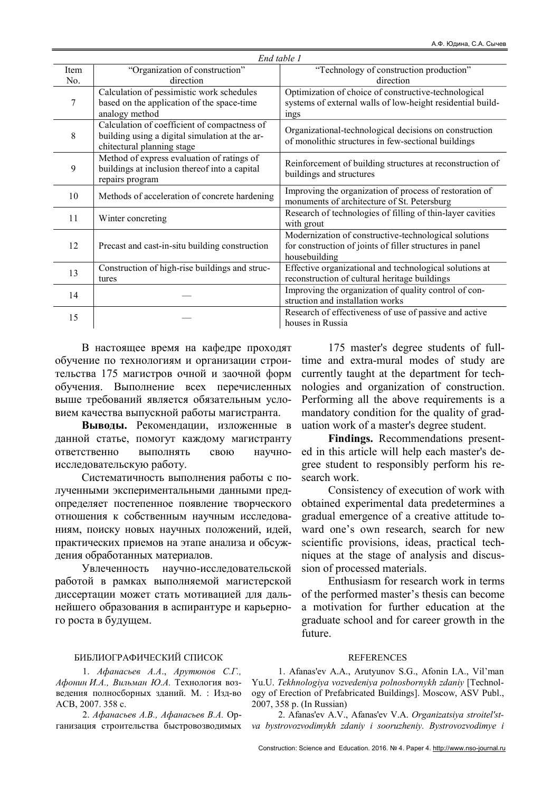| End table 1 |                                                                                                                              |                                                                                                                                    |  |  |
|-------------|------------------------------------------------------------------------------------------------------------------------------|------------------------------------------------------------------------------------------------------------------------------------|--|--|
| Item        | "Organization of construction"                                                                                               | "Technology of construction production"                                                                                            |  |  |
| No.         | direction                                                                                                                    | direction                                                                                                                          |  |  |
| 7           | Calculation of pessimistic work schedules                                                                                    | Optimization of choice of constructive-technological                                                                               |  |  |
|             | based on the application of the space-time<br>analogy method                                                                 | systems of external walls of low-height residential build-<br>ings                                                                 |  |  |
| 8           | Calculation of coefficient of compactness of<br>building using a digital simulation at the ar-<br>chitectural planning stage | Organizational-technological decisions on construction<br>of monolithic structures in few-sectional buildings                      |  |  |
| 9           | Method of express evaluation of ratings of<br>buildings at inclusion thereof into a capital<br>repairs program               | Reinforcement of building structures at reconstruction of<br>buildings and structures                                              |  |  |
| 10          | Methods of acceleration of concrete hardening                                                                                | Improving the organization of process of restoration of<br>monuments of architecture of St. Petersburg                             |  |  |
| 11          | Winter concreting                                                                                                            | Research of technologies of filling of thin-layer cavities<br>with grout                                                           |  |  |
| 12          | Precast and cast-in-situ building construction                                                                               | Modernization of constructive-technological solutions<br>for construction of joints of filler structures in panel<br>housebuilding |  |  |
| 13          | Construction of high-rise buildings and struc-<br>tures                                                                      | Effective organizational and technological solutions at<br>reconstruction of cultural heritage buildings                           |  |  |
| 14          |                                                                                                                              | Improving the organization of quality control of con-<br>struction and installation works                                          |  |  |
| 15          |                                                                                                                              | Research of effectiveness of use of passive and active<br>houses in Russia                                                         |  |  |

В настоящее время на кафедре проходят обучение по технологиям и организации строительства 175 магистров очной и заочной форм обучения. Выполнение всех перечисленных выше требований является обязательным условием качества выпускной работы магистранта.

Выводы. Рекомендации, изложенные в данной статье, помогут каждому магистранту ответственно выполнять свою научноисследовательскую работу.

Систематичность выполнения работы с полученными экспериментальными данными предопределяет постепенное появление творческого отношения к собственным научным исследованиям, поиску новых научных положений, идей, практических приемов на этапе анализа и обсуждения обработанных материалов.

Увлеченность научно-исследовательской работой в рамках выполняемой магистерской диссертации может стать мотивацией для дальнейшего образования в аспирантуре и карьерного роста в будущем.

175 master's degree students of fulltime and extra-mural modes of study are currently taught at the department for technologies and organization of construction. Performing all the above requirements is a mandatory condition for the quality of graduation work of a master's degree student.

Findings. Recommendations presented in this article will help each master's degree student to responsibly perform his research work.

Consistency of execution of work with obtained experimental data predetermines a gradual emergence of a creative attitude toward one's own research, search for new scientific provisions, ideas, practical techniques at the stage of analysis and discussion of processed materials.

Enthusiasm for research work in terms of the performed master's thesis can become a motivation for further education at the graduate school and for career growth in the future.

### БИБЛИОГРАФИЧЕСКИЙ СПИСОК

1. Афанасьев А.А., Арутюнов С.Г., Афонин И.А., Вильман Ю.А. Технология возведения полносборных зданий. М. : Изд-во АСВ, 2007. 358 с.

2. Афанасьев А.В., Афанасьев В.А. Организация строительства быстровозводимых

## **REFERENCES**

1. Afanas'ev A.A., Arutyunov S.G., Afonin I.A., Vil'man Yu.U. Tekhnologiya vozvedeniya polnosbornykh zdaniy [Technology of Erection of Prefabricated Buildings]. Moscow, ASV Publ., 2007, 358 p. (In Russian)

2. Afanas'ev A.V., Afanas'ev V.A. Organizatsiya stroitel'stva bystrovozvodimykh zdaniy i sooruzheniy. Bystrovozvodimye i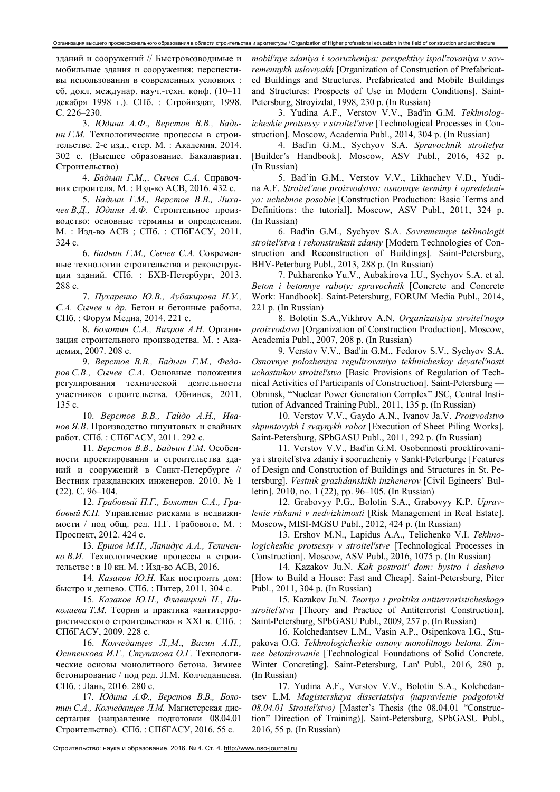зданий и сооружений // Быстровозводимые и мобильные здания и сооружения: перспективы использования в современных условиях : cб. докл. междунар. науч.-техн. конф. (10–11 декабря 1998 г.). СПб. : Стройиздат, 1998. С. 226–230.

3. Юдина А.Ф., Верстов В.В., Бадьин Г.М. Технологические процессы в строительстве. 2-е изд., стер. М. : Академия, 2014. 302 с. (Высшее образование. Бакалавриат. Строительство)

4. Бадьин Г.М.,. Сычев С.А. Справочник строителя. М. : Изд-во АСВ, 2016. 432 с.

5. Бадьин Г.М., Верстов В.В., Лихачев В.Д., Юдина А.Ф. Строительное производство: основные термины и определения. М. : Изд-во АСВ ; СПб. : СПбГАСУ, 2011. 324 с.

6. Бадьин Г.М., Сычев С.А. Современные технологии строительства и реконструкции зданий. СПб. : БХВ-Петербург, 2013. 288 с.

7. Пухаренко Ю.В., Аубакирова И.У., С.А. Сычев и др. Бетон и бетонные работы. СПб. : Форум Медиа, 2014. 221 с.

8. Болотин С.А., Вихров А.Н. Организация строительного производства. М. : Академия, 2007. 208 с.

9. Верстов В.В., Бадьин Г.М., Федоров С.В., Сычев С.А. Основные положения регулирования технической деятельности участников строительства. Обнинск, 2011. 135 с.

10. Верстов В.В., Гайдо А.Н., Иванов Я.В. Производство шпунтовых и свайных работ. СПб. : СПбГАСУ, 2011. 292 с.

11. Верстов В.В., Бадьин Г.М. Особенности проектирования и строительства зданий и сооружений в Санкт-Петербурге // Вестник гражданских инженеров. 2010. № 1 (22). С. 96–104.

12. Грабовый П.Г., Болотин С.А., Грабовый К.П. Управление рисками в недвижимости / под общ. ред. П.Г. Грабового. М. : Проспект, 2012. 424 с.

13. Ершов М.Н., Лапидус А.А., Теличенко В.И. Технологические процессы в строительстве : в 10 кн. М. : Изд-во АСВ, 2016.

14. Казаков Ю.Н. Как построить дом: быстро и дешево. СПб. : Питер, 2011. 304 с.

15. Казаков Ю.Н., Флавицкий Н., Николаева Т.М. Теория и практика «антитеррористического строительства» в XXI в. СПб. : СПбГАСУ, 2009. 228 с.

16. Колчеданцев Л.,М., Васин А.П., Осипенкова И.Г., Ступакова О.Г. Технологические основы монолитного бетона. Зимнее бетонирование / под ред. Л.М. Колчеданцева. СПб. : Лань, 2016. 280 с.

17. Юдина А.Ф., Верстов В.В., Болотин С.А., Колчеданцев Л.М. Магистерская диссертация (направление подготовки 08.04.01 Строительство). СПб. : СПбГАСУ, 2016. 55 с.

mobil'nye zdaniya i sooruzheniya: perspektivy ispol'zovaniya v sovremennykh usloviyakh [Organization of Construction of Prefabricated Buildings and Structures. Prefabricated and Mobile Buildings and Structures: Prospects of Use in Modern Conditions]. Saint-Petersburg, Stroyizdat, 1998, 230 p. (In Russian)

3. Yudina A.F., Verstov V.V., Bad'in G.M. Tekhnologicheskie protsessy v stroitel'stve [Technological Processes in Construction]. Moscow, Academia Publ., 2014, 304 p. (In Russian)

4. Bad'in G.M., Sychyov S.A. Spravochnik stroitelya [Builder's Handbook]. Moscow, ASV Publ., 2016, 432 p. (In Russian)

5. Bad'in G.M., Verstov V.V., Likhachev V.D., Yudina A.F. Stroitel'noe proizvodstvo: osnovnye terminy i opredeleniya: uchebnoe posobie [Construction Production: Basic Terms and Definitions: the tutorial]. Moscow, ASV Publ., 2011, 324 p. (In Russian)

6. Bad'in G.M., Sychyov S.A. Sovremennye tekhnologii stroitel'stva i rekonstruktsii zdaniy [Modern Technologies of Construction and Reconstruction of Buildings]. Saint-Petersburg, BHV-Peterburg Publ., 2013, 288 p. (In Russian)

7. Pukharenko Yu.V., Aubakirova I.U., Sychyov S.A. et al. Beton i betonnye raboty: spravochnik [Concrete and Concrete Work: Handbook]. Saint-Petersburg, FORUM Media Publ., 2014, 221 p. (In Russian)

8. Bolotin S.A.,Vikhrov A.N. Organizatsiya stroitel'nogo proizvodstva [Organization of Construction Production]. Moscow, Academia Publ., 2007, 208 p. (In Russian)

9. Verstov V.V., Bad'in G.M., Fedorov S.V., Sychyov S.A. Osnovnye polozheniya regulirovaniya tekhnicheskoy deyatel'nosti uchastnikov stroitel'stva [Basic Provisions of Regulation of Technical Activities of Participants of Construction]. Saint-Petersburg — Obninsk, "Nuclear Power Generation Complex" JSC, Central Institution of Advanced Training Publ., 2011, 135 p. (In Russian)

10. Verstov V.V., Gaydo A.N., Ivanov Ja.V. Proizvodstvo shpuntovykh i svaynykh rabot [Execution of Sheet Piling Works]. Saint-Petersburg, SPbGASU Publ., 2011, 292 p. (In Russian)

11. Verstov V.V., Bad'in G.M. Osobennosti proektirovaniya i stroitel'stva zdaniy i sooruzheniy v Sankt-Peterburge [Features of Design and Construction of Buildings and Structures in St. Petersburg]. Vestnik grazhdanskikh inzhenerov [Civil Egineers' Bulletin]. 2010, no. 1 (22), pp. 96–105. (In Russian)

12. Grabovyy P.G., Bolotin S.A., Grabovyy K.P. Upravlenie riskami v nedvizhimosti [Risk Management in Real Estate]. Moscow, MISI-MGSU Publ., 2012, 424 p. (In Russian)

13. Ershov M.N., Lapidus A.A., Telichenko V.I. Tekhnologicheskie protsessy v stroitel'stve [Technological Processes in Construction]. Moscow, ASV Publ., 2016, 1075 p. (In Russian)

14. Kazakov Ju.N. Kak postroit' dom: bystro i deshevo [How to Build a House: Fast and Cheap]. Saint-Petersburg, Piter Publ., 2011, 304 p. (In Russian)

15. Kazakov Ju.N. Teoriya i praktika antiterroristicheskogo stroitel'stva [Theory and Practice of Antiterrorist Construction]. Saint-Petersburg, SPbGASU Publ., 2009, 257 p. (In Russian)

16. Kolchedantsev L.M., Vasin A.P., Osipenkova I.G., Stupakova O.G. Tekhnologicheskie osnovy monolitnogo betona. Zimnee betonirovanie [Technological Foundations of Solid Concrete. Winter Concreting]. Saint-Petersburg, Lan' Publ., 2016, 280 p. (In Russian)

17. Yudina A.F., Verstov V.V., Bolotin S.A., Kolchedantsev L.M. Magisterskaya dissertatsiya (napravlenie podgotovki 08.04.01 Stroitel'stvo) [Master's Thesis (the 08.04.01 "Construction" Direction of Training)]. Saint-Petersburg, SPbGASU Publ., 2016, 55 p. (In Russian)

Строительство: наука и образование. 2016. № 4. Ст. 4. http://www.nso-journal.ru